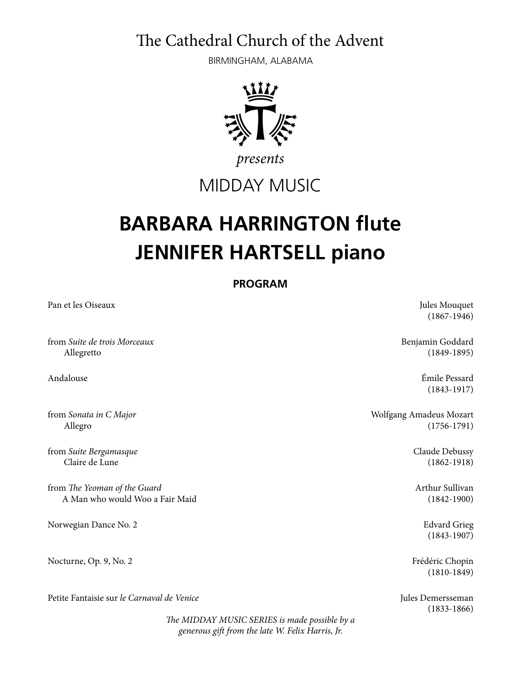The Cathedral Church of the Advent

BIRMINGHAM, ALABAMA



*presents*

MIDDAY MUSIC

## **BARBARA HARRINGTON flute JENNIFER HARTSELL piano**

**PROGRAM** 

Pan et les Oiseaux Jules Mouquet (1867-1946) from *Suite de trois Morceaux* Benjamin Goddard Allegretto (1849-1895) Andalouse Émile Pessard (1843-1917) from *Sonata in C Major*  $\blacksquare$  Amadeus Mozart  $\blacksquare$  Molfgang Amadeus Mozart  $\blacksquare$  Allegro (1756-1791) from *Suite Bergamasque* Claude Debussy Claire de Lune (1862-1918) from T*e Yeoman of the Guard* Arthur Sullivan A Man who would Woo a Fair Maid (1842-1900) Norwegian Dance No. 2 **Edvard Grieg** Edvard Grieg (1843-1907) Nocturne, Op. 9, No. 2 Frédéric Chopin (1810-1849) Petite Fantaisie sur *le Carnaval de Venice* Jules Demersseman (1833-1866)

T*e MIDDAY MUSIC SERIES is made possible by a generous gi*f *from the late W. Felix Harris, Jr.*